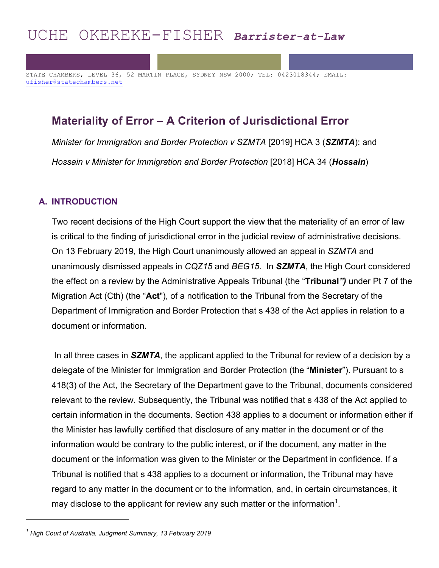# UCHE OKEREKE-FISHER *Barrister-at-Law*

STATE CHAMBERS, LEVEL 36, 52 MARTIN PLACE, SYDNEY NSW 2000; TEL: 0423018344; EMAIL: ufisher@statechambers.net

# **Materiality of Error – A Criterion of Jurisdictional Error**

*Minister for Immigration and Border Protection v SZMTA* [2019] HCA 3 (*SZMTA*); and *Hossain v Minister for Immigration and Border Protection* [2018] HCA 34 (*Hossain*)

#### **A. INTRODUCTION**

Two recent decisions of the High Court support the view that the materiality of an error of law is critical to the finding of jurisdictional error in the judicial review of administrative decisions. On 13 February 2019, the High Court unanimously allowed an appeal in *SZMTA* and unanimously dismissed appeals in *CQZ15* and *BEG15*. In *SZMTA*, the High Court considered the effect on a review by the Administrative Appeals Tribunal (the "**Tribunal***")* under Pt 7 of the Migration Act (Cth) (the "**Act**"), of a notification to the Tribunal from the Secretary of the Department of Immigration and Border Protection that s 438 of the Act applies in relation to a document or information.

In all three cases in *SZMTA*, the applicant applied to the Tribunal for review of a decision by a delegate of the Minister for Immigration and Border Protection (the "**Minister**"). Pursuant to s 418(3) of the Act, the Secretary of the Department gave to the Tribunal, documents considered relevant to the review. Subsequently, the Tribunal was notified that s 438 of the Act applied to certain information in the documents. Section 438 applies to a document or information either if the Minister has lawfully certified that disclosure of any matter in the document or of the information would be contrary to the public interest, or if the document, any matter in the document or the information was given to the Minister or the Department in confidence. If a Tribunal is notified that s 438 applies to a document or information, the Tribunal may have regard to any matter in the document or to the information, and, in certain circumstances, it may disclose to the applicant for review any such matter or the information<sup>1</sup>.

l

*<sup>1</sup> High Court of Australia, Judgment Summary, 13 February 2019*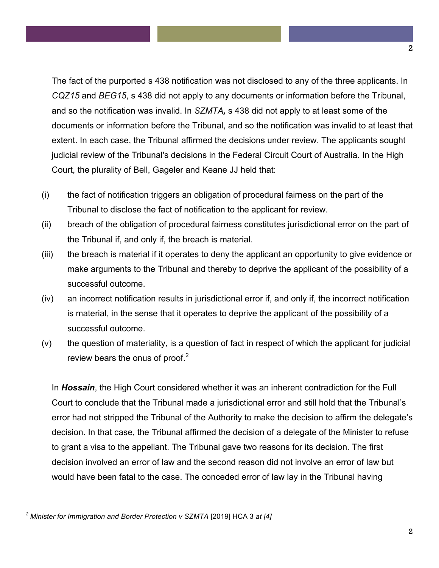The fact of the purported s 438 notification was not disclosed to any of the three applicants. In *CQZ15* and *BEG15*, s 438 did not apply to any documents or information before the Tribunal, and so the notification was invalid. In *SZMTA,* s 438 did not apply to at least some of the documents or information before the Tribunal, and so the notification was invalid to at least that extent. In each case, the Tribunal affirmed the decisions under review. The applicants sought judicial review of the Tribunal's decisions in the Federal Circuit Court of Australia. In the High Court, the plurality of Bell, Gageler and Keane JJ held that:

- (i) the fact of notification triggers an obligation of procedural fairness on the part of the Tribunal to disclose the fact of notification to the applicant for review.
- (ii) breach of the obligation of procedural fairness constitutes jurisdictional error on the part of the Tribunal if, and only if, the breach is material.
- (iii) the breach is material if it operates to deny the applicant an opportunity to give evidence or make arguments to the Tribunal and thereby to deprive the applicant of the possibility of a successful outcome.
- (iv) an incorrect notification results in jurisdictional error if, and only if, the incorrect notification is material, in the sense that it operates to deprive the applicant of the possibility of a successful outcome.
- (v) the question of materiality, is a question of fact in respect of which the applicant for judicial review bears the onus of proof. $2^2$

In *Hossain*, the High Court considered whether it was an inherent contradiction for the Full Court to conclude that the Tribunal made a jurisdictional error and still hold that the Tribunal's error had not stripped the Tribunal of the Authority to make the decision to affirm the delegate's decision. In that case, the Tribunal affirmed the decision of a delegate of the Minister to refuse to grant a visa to the appellant. The Tribunal gave two reasons for its decision. The first decision involved an error of law and the second reason did not involve an error of law but would have been fatal to the case. The conceded error of law lay in the Tribunal having

 $\overline{a}$ 

*<sup>2</sup> Minister for Immigration and Border Protection v SZMTA* [2019] HCA 3 *at [4]*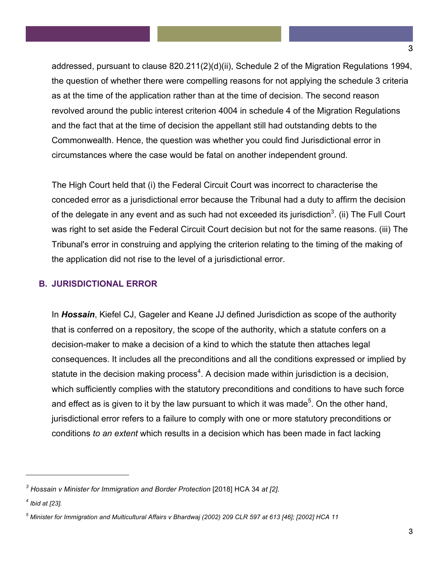addressed, pursuant to clause 820.211(2)(d)(ii), Schedule 2 of the Migration Regulations 1994, the question of whether there were compelling reasons for not applying the schedule 3 criteria as at the time of the application rather than at the time of decision. The second reason revolved around the public interest criterion 4004 in schedule 4 of the Migration Regulations and the fact that at the time of decision the appellant still had outstanding debts to the Commonwealth. Hence, the question was whether you could find Jurisdictional error in circumstances where the case would be fatal on another independent ground.

The High Court held that (i) the Federal Circuit Court was incorrect to characterise the conceded error as a jurisdictional error because the Tribunal had a duty to affirm the decision of the delegate in any event and as such had not exceeded its jurisdiction<sup>3</sup>. (ii) The Full Court was right to set aside the Federal Circuit Court decision but not for the same reasons. (iii) The Tribunal's error in construing and applying the criterion relating to the timing of the making of the application did not rise to the level of a jurisdictional error.

## **B. JURISDICTIONAL ERROR**

In *Hossain*, Kiefel CJ, Gageler and Keane JJ defined Jurisdiction as scope of the authority that is conferred on a repository, the scope of the authority, which a statute confers on a decision-maker to make a decision of a kind to which the statute then attaches legal consequences. It includes all the preconditions and all the conditions expressed or implied by statute in the decision making process<sup>4</sup>. A decision made within jurisdiction is a decision, which sufficiently complies with the statutory preconditions and conditions to have such force and effect as is given to it by the law pursuant to which it was made<sup>5</sup>. On the other hand, jurisdictional error refers to a failure to comply with one or more statutory preconditions or conditions *to an extent* which results in a decision which has been made in fact lacking

 $\overline{a}$ 

*<sup>3</sup> Hossain v Minister for Immigration and Border Protection* [2018] HCA 34 *at [2].*

*<sup>4</sup> Ibid at [23].*

*<sup>5</sup> Minister for Immigration and Multicultural Affairs v Bhardwaj (2002) 209 CLR 597 at 613 [46]; [2002] HCA 11*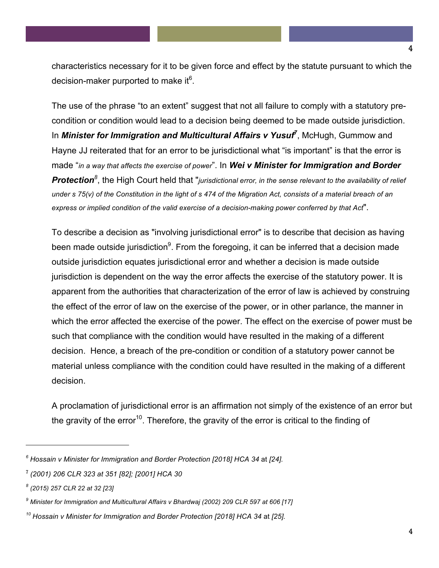characteristics necessary for it to be given force and effect by the statute pursuant to which the decision-maker purported to make it $6$ .

The use of the phrase "to an extent" suggest that not all failure to comply with a statutory precondition or condition would lead to a decision being deemed to be made outside jurisdiction. In *Minister for Immigration and Multicultural Affairs v Yusuf<sup>7</sup>, McHugh, Gummow and* Hayne JJ reiterated that for an error to be jurisdictional what "is important" is that the error is made "*in a way that affects the exercise of power*". In *Wei v Minister for Immigration and Border Protection<sup>8</sup>* , the High Court held that "*jurisdictional error, in the sense relevant to the availability of relief under s 75(v) of the Constitution in the light of s 474 of the Migration Act, consists of a material breach of an express or implied condition of the valid exercise of a decision-making power conferred by that Act*".

To describe a decision as "involving jurisdictional error" is to describe that decision as having been made outside jurisdiction<sup>9</sup>. From the foregoing, it can be inferred that a decision made outside jurisdiction equates jurisdictional error and whether a decision is made outside jurisdiction is dependent on the way the error affects the exercise of the statutory power. It is apparent from the authorities that characterization of the error of law is achieved by construing the effect of the error of law on the exercise of the power, or in other parlance, the manner in which the error affected the exercise of the power. The effect on the exercise of power must be such that compliance with the condition would have resulted in the making of a different decision. Hence, a breach of the pre-condition or condition of a statutory power cannot be material unless compliance with the condition could have resulted in the making of a different decision.

A proclamation of jurisdictional error is an affirmation not simply of the existence of an error but the gravity of the error<sup>10</sup>. Therefore, the gravity of the error is critical to the finding of

 $\overline{a}$ 

4

*<sup>6</sup> Hossain v Minister for Immigration and Border Protection [2018] HCA 34* at *[24].*

<sup>7</sup> *(2001) 206 CLR 323 at 351 [82]; [2001] HCA 30*

*<sup>8</sup> (2015) 257 CLR 22 at 32 [23]*

*<sup>9</sup> Minister for Immigration and Multicultural Affairs v Bhardwaj (2002) 209 CLR 597 at 606 [17]*

*<sup>10</sup> Hossain v Minister for Immigration and Border Protection [2018] HCA 34* at *[25].*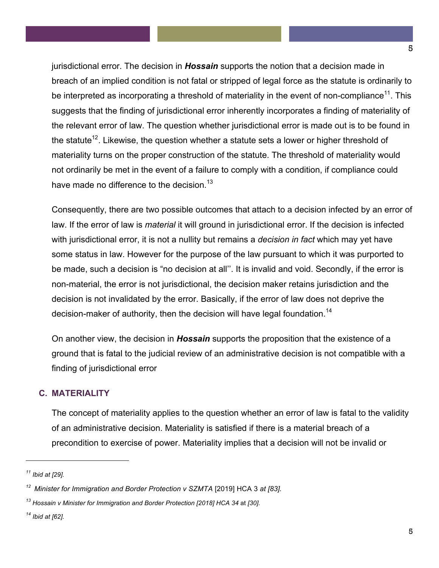jurisdictional error. The decision in *Hossain* supports the notion that a decision made in breach of an implied condition is not fatal or stripped of legal force as the statute is ordinarily to be interpreted as incorporating a threshold of materiality in the event of non-compliance<sup>11</sup>. This suggests that the finding of jurisdictional error inherently incorporates a finding of materiality of the relevant error of law. The question whether jurisdictional error is made out is to be found in the statute<sup>12</sup>. Likewise, the question whether a statute sets a lower or higher threshold of materiality turns on the proper construction of the statute. The threshold of materiality would not ordinarily be met in the event of a failure to comply with a condition, if compliance could have made no difference to the decision.<sup>13</sup>

Consequently, there are two possible outcomes that attach to a decision infected by an error of law. If the error of law is *material* it will ground in jurisdictional error. If the decision is infected with jurisdictional error, it is not a nullity but remains a *decision in fact* which may yet have some status in law. However for the purpose of the law pursuant to which it was purported to be made, such a decision is "no decision at all''. It is invalid and void. Secondly, if the error is non-material, the error is not jurisdictional, the decision maker retains jurisdiction and the decision is not invalidated by the error. Basically, if the error of law does not deprive the decision-maker of authority, then the decision will have legal foundation.<sup>14</sup>

On another view, the decision in *Hossain* supports the proposition that the existence of a ground that is fatal to the judicial review of an administrative decision is not compatible with a finding of jurisdictional error

### **C. MATERIALITY**

The concept of materiality applies to the question whether an error of law is fatal to the validity of an administrative decision. Materiality is satisfied if there is a material breach of a precondition to exercise of power. Materiality implies that a decision will not be invalid or

 $\overline{a}$ 

5

*<sup>11</sup> Ibid at [29].*

*<sup>12</sup> Minister for Immigration and Border Protection v SZMTA* [2019] HCA 3 *at [83].*

*<sup>13</sup> Hossain v Minister for Immigration and Border Protection [2018] HCA 34* at *[30].*

*<sup>14</sup> Ibid at [62].*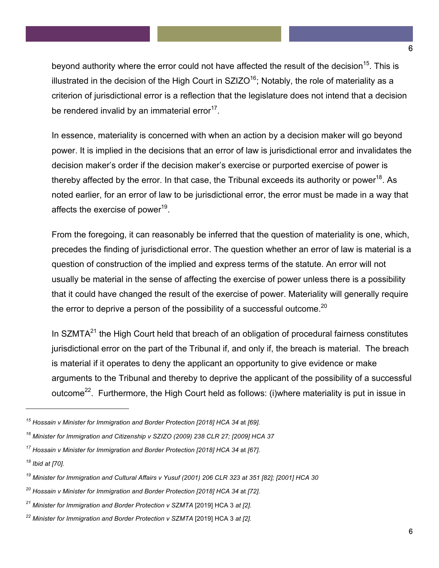beyond authority where the error could not have affected the result of the decision<sup>15</sup>. This is illustrated in the decision of the High Court in  $SZIZO<sup>16</sup>$ ; Notably, the role of materiality as a criterion of jurisdictional error is a reflection that the legislature does not intend that a decision be rendered invalid by an immaterial error $17$ .

In essence, materiality is concerned with when an action by a decision maker will go beyond power. It is implied in the decisions that an error of law is jurisdictional error and invalidates the decision maker's order if the decision maker's exercise or purported exercise of power is thereby affected by the error. In that case, the Tribunal exceeds its authority or power<sup>18</sup>. As noted earlier, for an error of law to be jurisdictional error, the error must be made in a way that affects the exercise of power<sup>19</sup>.

From the foregoing, it can reasonably be inferred that the question of materiality is one, which, precedes the finding of jurisdictional error. The question whether an error of law is material is a question of construction of the implied and express terms of the statute. An error will not usually be material in the sense of affecting the exercise of power unless there is a possibility that it could have changed the result of the exercise of power. Materiality will generally require the error to deprive a person of the possibility of a successful outcome.<sup>20</sup>

In SZMT $A^{21}$  the High Court held that breach of an obligation of procedural fairness constitutes jurisdictional error on the part of the Tribunal if, and only if, the breach is material. The breach is material if it operates to deny the applicant an opportunity to give evidence or make arguments to the Tribunal and thereby to deprive the applicant of the possibility of a successful outcome<sup>22</sup>. Furthermore, the High Court held as follows: (i) where materiality is put in issue in

l

*<sup>15</sup> Hossain v Minister for Immigration and Border Protection [2018] HCA 34* at *[69].*

*<sup>16</sup> Minister for Immigration and Citizenship v SZIZO (2009) 238 CLR 27; [2009] HCA 37*

*<sup>17</sup> Hossain v Minister for Immigration and Border Protection [2018] HCA 34* at *[67].*

*<sup>18</sup> Ibid at [70].*

*<sup>19</sup> Minister for Immigration and Cultural Affairs v Yusuf (2001) 206 CLR 323 at 351 [82]; [2001] HCA 30*

*<sup>20</sup> Hossain v Minister for Immigration and Border Protection [2018] HCA 34* at *[72].*

*<sup>21</sup> Minister for Immigration and Border Protection v SZMTA* [2019] HCA 3 *at [2].*

*<sup>22</sup> Minister for Immigration and Border Protection v SZMTA* [2019] HCA 3 *at [2].*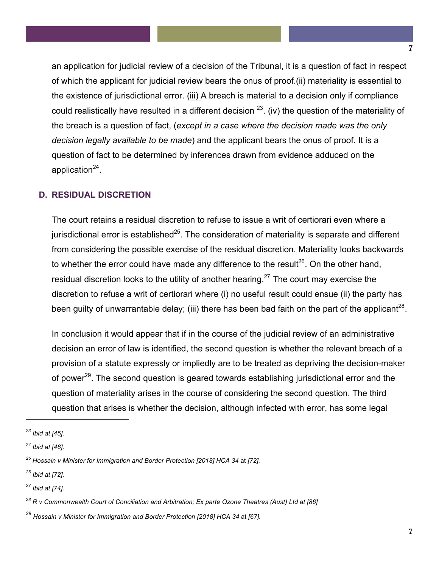an application for judicial review of a decision of the Tribunal, it is a question of fact in respect of which the applicant for judicial review bears the onus of proof.(ii) materiality is essential to the existence of jurisdictional error. (iii) A breach is material to a decision only if compliance could realistically have resulted in a different decision  $^{23}$ . (iv) the question of the materiality of the breach is a question of fact, (*except in a case where the decision made was the only decision legally available to be made*) and the applicant bears the onus of proof. It is a question of fact to be determined by inferences drawn from evidence adduced on the application $24$ .

#### **D. RESIDUAL DISCRETION**

The court retains a residual discretion to refuse to issue a writ of certiorari even where a jurisdictional error is established $^{25}$ . The consideration of materiality is separate and different from considering the possible exercise of the residual discretion. Materiality looks backwards to whether the error could have made any difference to the result<sup>26</sup>. On the other hand, residual discretion looks to the utility of another hearing.<sup>27</sup> The court may exercise the discretion to refuse a writ of certiorari where (i) no useful result could ensue (ii) the party has been guilty of unwarrantable delay; (iii) there has been bad faith on the part of the applicant<sup>28</sup>.

In conclusion it would appear that if in the course of the judicial review of an administrative decision an error of law is identified, the second question is whether the relevant breach of a provision of a statute expressly or impliedly are to be treated as depriving the decision-maker of power<sup>29</sup>. The second question is geared towards establishing jurisdictional error and the question of materiality arises in the course of considering the second question. The third question that arises is whether the decision, although infected with error, has some legal

l

7

*<sup>23</sup> Ibid at [45].*

*<sup>24</sup> Ibid at [46].*

*<sup>25</sup> Hossain v Minister for Immigration and Border Protection [2018] HCA 34* at *[72].*

*<sup>26</sup> Ibid at [72].*

*<sup>27</sup> Ibid at [74].*

*<sup>28</sup> R v Commonwealth Court of Conciliation and Arbitration; Ex parte Ozone Theatres (Aust) Ltd at [86]*

*<sup>29</sup> Hossain v Minister for Immigration and Border Protection [2018] HCA 34* at *[67].*